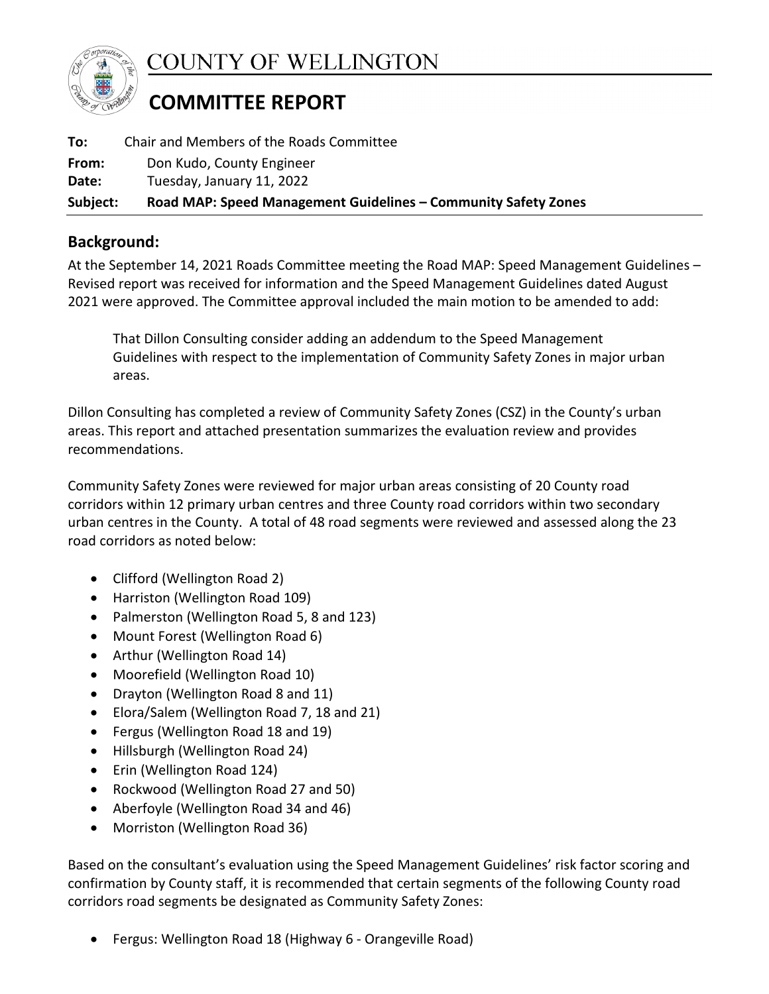

COUNTY OF WELLINGTON

## **COMMITTEE REPORT**

| To:      | Chair and Members of the Roads Committee                       |
|----------|----------------------------------------------------------------|
| From:    | Don Kudo, County Engineer                                      |
| Date:    | Tuesday, January 11, 2022                                      |
| Subject: | Road MAP: Speed Management Guidelines – Community Safety Zones |

## **Background:**

At the September 14, 2021 Roads Committee meeting the Road MAP: Speed Management Guidelines – Revised report was received for information and the Speed Management Guidelines dated August 2021 were approved. The Committee approval included the main motion to be amended to add:

That Dillon Consulting consider adding an addendum to the Speed Management Guidelines with respect to the implementation of Community Safety Zones in major urban areas.

Dillon Consulting has completed a review of Community Safety Zones (CSZ) in the County's urban areas. This report and attached presentation summarizes the evaluation review and provides recommendations.

Community Safety Zones were reviewed for major urban areas consisting of 20 County road corridors within 12 primary urban centres and three County road corridors within two secondary urban centres in the County. A total of 48 road segments were reviewed and assessed along the 23 road corridors as noted below:

- Clifford (Wellington Road 2)
- Harriston (Wellington Road 109)
- Palmerston (Wellington Road 5, 8 and 123)
- Mount Forest (Wellington Road 6)
- Arthur (Wellington Road 14)
- Moorefield (Wellington Road 10)
- Drayton (Wellington Road 8 and 11)
- Elora/Salem (Wellington Road 7, 18 and 21)
- Fergus (Wellington Road 18 and 19)
- Hillsburgh (Wellington Road 24)
- Erin (Wellington Road 124)
- Rockwood (Wellington Road 27 and 50)
- Aberfoyle (Wellington Road 34 and 46)
- Morriston (Wellington Road 36)

Based on the consultant's evaluation using the Speed Management Guidelines' risk factor scoring and confirmation by County staff, it is recommended that certain segments of the following County road corridors road segments be designated as Community Safety Zones:

• Fergus: Wellington Road 18 (Highway 6 - Orangeville Road)